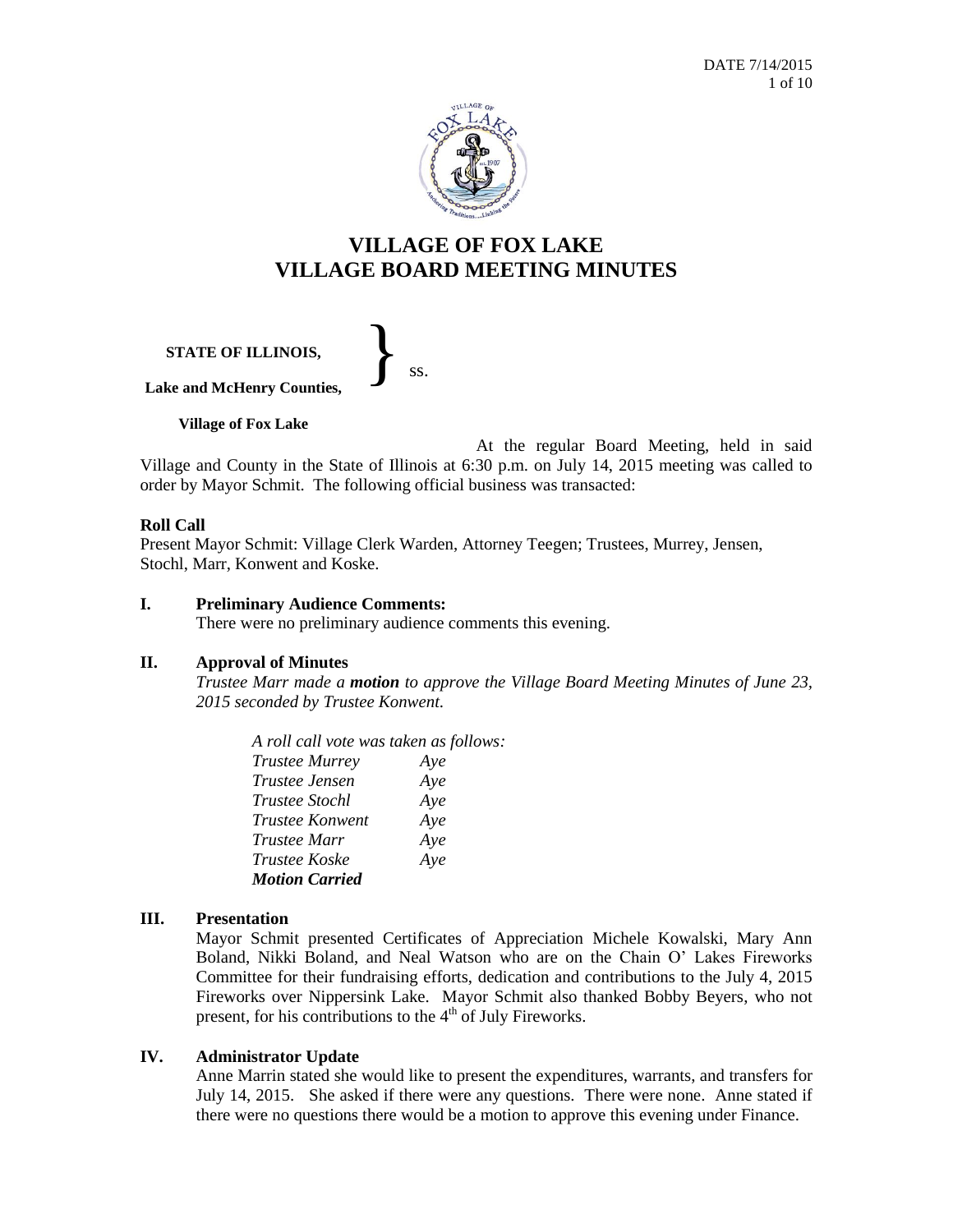

# **VILLAGE OF FOX LAKE VILLAGE BOARD MEETING MINUTES**

**STATE OF ILLINOIS,** }<br>*ss.* 

**Lake and McHenry Counties,**

**Village of Fox Lake**

At the regular Board Meeting, held in said Village and County in the State of Illinois at 6:30 p.m. on July 14, 2015 meeting was called to order by Mayor Schmit. The following official business was transacted:

## **Roll Call**

Present Mayor Schmit: Village Clerk Warden, Attorney Teegen; Trustees, Murrey, Jensen, Stochl, Marr, Konwent and Koske.

## **I. Preliminary Audience Comments:**

There were no preliminary audience comments this evening.

## **II. Approval of Minutes**

*Trustee Marr made a motion to approve the Village Board Meeting Minutes of June 23, 2015 seconded by Trustee Konwent.*

*A roll call vote was taken as follows: Trustee Murrey Aye Trustee Jensen Aye Trustee Stochl Aye Trustee Konwent Aye Trustee Marr Aye Trustee Koske Aye Motion Carried* 

# **III. Presentation**

Mayor Schmit presented Certificates of Appreciation Michele Kowalski, Mary Ann Boland, Nikki Boland, and Neal Watson who are on the Chain O' Lakes Fireworks Committee for their fundraising efforts, dedication and contributions to the July 4, 2015 Fireworks over Nippersink Lake. Mayor Schmit also thanked Bobby Beyers, who not present, for his contributions to the  $4<sup>th</sup>$  of July Fireworks.

# **IV. Administrator Update**

Anne Marrin stated she would like to present the expenditures, warrants, and transfers for July 14, 2015. She asked if there were any questions. There were none. Anne stated if there were no questions there would be a motion to approve this evening under Finance.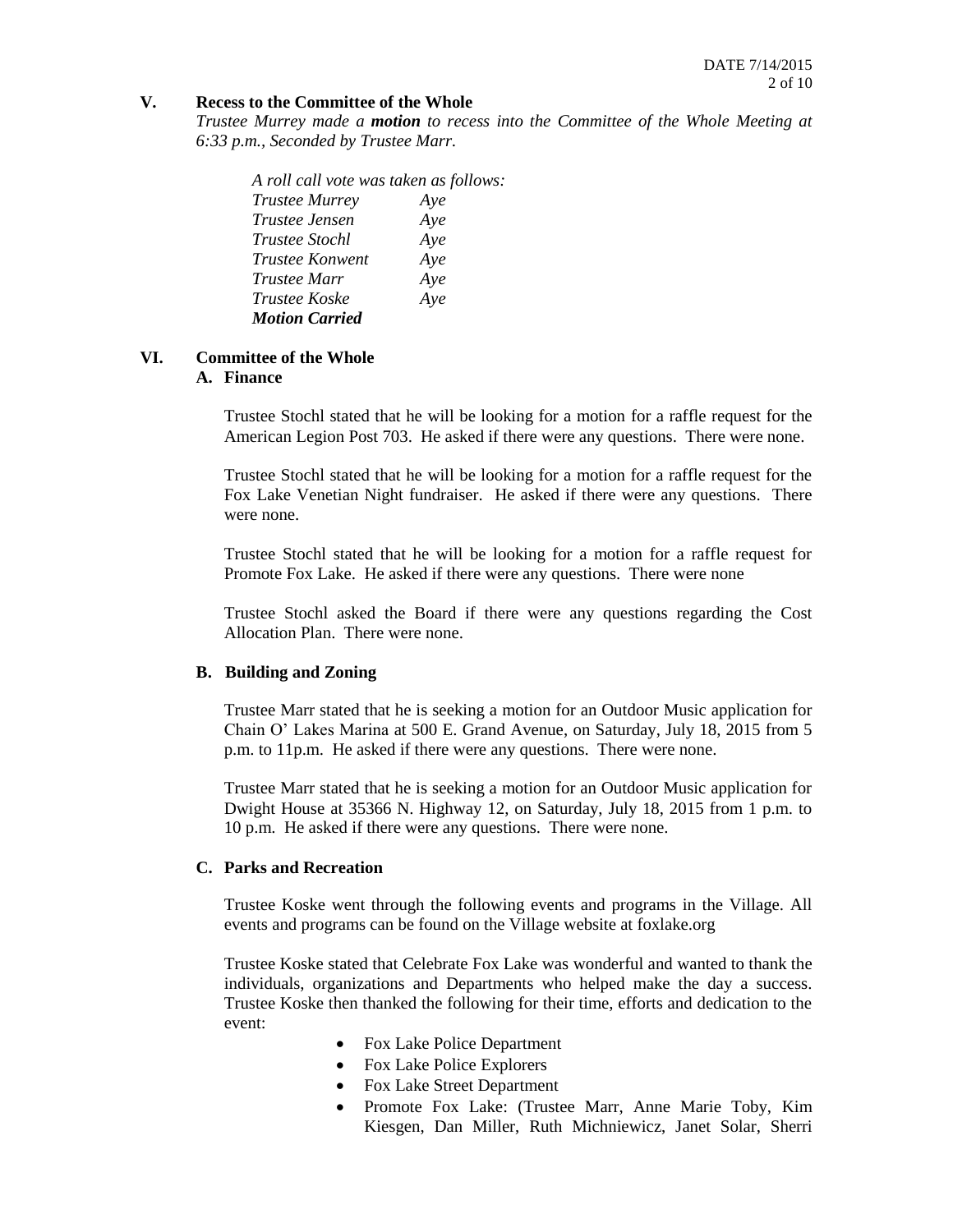#### **V. Recess to the Committee of the Whole**

*Trustee Murrey made a motion to recess into the Committee of the Whole Meeting at 6:33 p.m., Seconded by Trustee Marr.*

*A roll call vote was taken as follows: Trustee Murrey Aye Trustee Jensen Aye Trustee Stochl Aye Trustee Konwent Aye Trustee Marr Aye Trustee Koske Aye Motion Carried*

#### **VI. Committee of the Whole A. Finance**

Trustee Stochl stated that he will be looking for a motion for a raffle request for the American Legion Post 703. He asked if there were any questions. There were none.

Trustee Stochl stated that he will be looking for a motion for a raffle request for the Fox Lake Venetian Night fundraiser. He asked if there were any questions. There were none.

Trustee Stochl stated that he will be looking for a motion for a raffle request for Promote Fox Lake. He asked if there were any questions. There were none

Trustee Stochl asked the Board if there were any questions regarding the Cost Allocation Plan. There were none.

## **B. Building and Zoning**

Trustee Marr stated that he is seeking a motion for an Outdoor Music application for Chain O' Lakes Marina at 500 E. Grand Avenue, on Saturday, July 18, 2015 from 5 p.m. to 11p.m. He asked if there were any questions. There were none.

Trustee Marr stated that he is seeking a motion for an Outdoor Music application for Dwight House at 35366 N. Highway 12, on Saturday, July 18, 2015 from 1 p.m. to 10 p.m. He asked if there were any questions. There were none.

## **C. Parks and Recreation**

Trustee Koske went through the following events and programs in the Village. All events and programs can be found on the Village website at foxlake.org

Trustee Koske stated that Celebrate Fox Lake was wonderful and wanted to thank the individuals, organizations and Departments who helped make the day a success. Trustee Koske then thanked the following for their time, efforts and dedication to the event:

- Fox Lake Police Department
- Fox Lake Police Explorers
- Fox Lake Street Department
- Promote Fox Lake: (Trustee Marr, Anne Marie Toby, Kim Kiesgen, Dan Miller, Ruth Michniewicz, Janet Solar, Sherri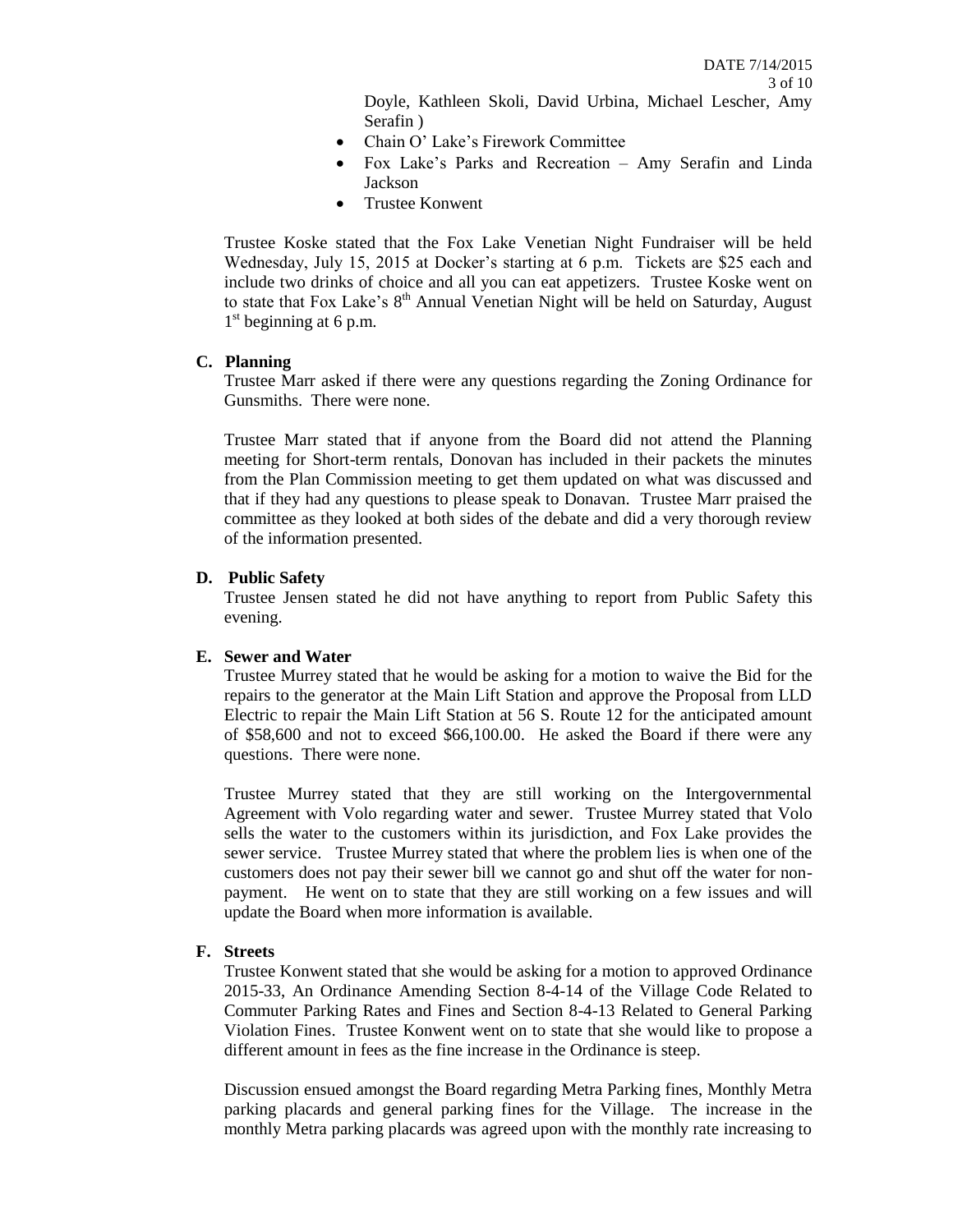Doyle, Kathleen Skoli, David Urbina, Michael Lescher, Amy Serafin )

- Chain O' Lake's Firework Committee
- Fox Lake's Parks and Recreation Amy Serafin and Linda Jackson
- Trustee Konwent

Trustee Koske stated that the Fox Lake Venetian Night Fundraiser will be held Wednesday, July 15, 2015 at Docker's starting at 6 p.m. Tickets are \$25 each and include two drinks of choice and all you can eat appetizers. Trustee Koske went on to state that Fox Lake's 8<sup>th</sup> Annual Venetian Night will be held on Saturday, August 1<sup>st</sup> beginning at 6 p.m.

## **C. Planning**

Trustee Marr asked if there were any questions regarding the Zoning Ordinance for Gunsmiths. There were none.

Trustee Marr stated that if anyone from the Board did not attend the Planning meeting for Short-term rentals, Donovan has included in their packets the minutes from the Plan Commission meeting to get them updated on what was discussed and that if they had any questions to please speak to Donavan. Trustee Marr praised the committee as they looked at both sides of the debate and did a very thorough review of the information presented.

## **D. Public Safety**

Trustee Jensen stated he did not have anything to report from Public Safety this evening.

## **E. Sewer and Water**

Trustee Murrey stated that he would be asking for a motion to waive the Bid for the repairs to the generator at the Main Lift Station and approve the Proposal from LLD Electric to repair the Main Lift Station at 56 S. Route 12 for the anticipated amount of \$58,600 and not to exceed \$66,100.00. He asked the Board if there were any questions. There were none.

Trustee Murrey stated that they are still working on the Intergovernmental Agreement with Volo regarding water and sewer. Trustee Murrey stated that Volo sells the water to the customers within its jurisdiction, and Fox Lake provides the sewer service. Trustee Murrey stated that where the problem lies is when one of the customers does not pay their sewer bill we cannot go and shut off the water for nonpayment. He went on to state that they are still working on a few issues and will update the Board when more information is available.

## **F. Streets**

Trustee Konwent stated that she would be asking for a motion to approved Ordinance 2015-33, An Ordinance Amending Section 8-4-14 of the Village Code Related to Commuter Parking Rates and Fines and Section 8-4-13 Related to General Parking Violation Fines. Trustee Konwent went on to state that she would like to propose a different amount in fees as the fine increase in the Ordinance is steep.

Discussion ensued amongst the Board regarding Metra Parking fines, Monthly Metra parking placards and general parking fines for the Village. The increase in the monthly Metra parking placards was agreed upon with the monthly rate increasing to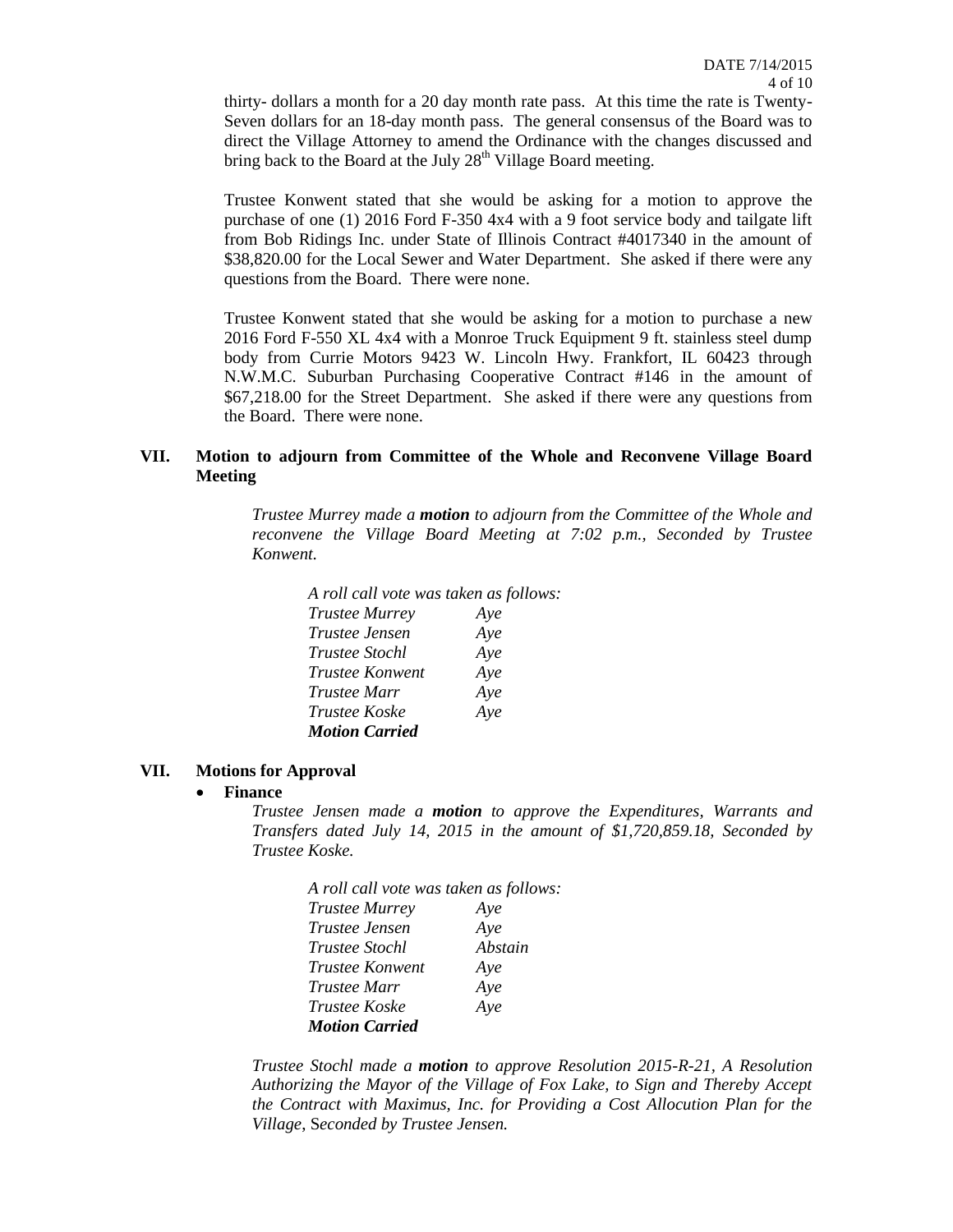thirty- dollars a month for a 20 day month rate pass. At this time the rate is Twenty-Seven dollars for an 18-day month pass. The general consensus of the Board was to direct the Village Attorney to amend the Ordinance with the changes discussed and bring back to the Board at the July  $28<sup>th</sup>$  Village Board meeting.

Trustee Konwent stated that she would be asking for a motion to approve the purchase of one (1) 2016 Ford F-350 4x4 with a 9 foot service body and tailgate lift from Bob Ridings Inc. under State of Illinois Contract #4017340 in the amount of \$38,820.00 for the Local Sewer and Water Department. She asked if there were any questions from the Board. There were none.

Trustee Konwent stated that she would be asking for a motion to purchase a new 2016 Ford F-550 XL 4x4 with a Monroe Truck Equipment 9 ft. stainless steel dump body from Currie Motors 9423 W. Lincoln Hwy. Frankfort, IL 60423 through N.W.M.C. Suburban Purchasing Cooperative Contract #146 in the amount of \$67,218.00 for the Street Department. She asked if there were any questions from the Board. There were none.

#### **VII. Motion to adjourn from Committee of the Whole and Reconvene Village Board Meeting**

*Trustee Murrey made a motion to adjourn from the Committee of the Whole and reconvene the Village Board Meeting at 7:02 p.m., Seconded by Trustee Konwent.*

| A roll call vote was taken as follows: |     |
|----------------------------------------|-----|
| <b>Trustee Murrey</b>                  | Aye |
| <i>Trustee Jensen</i>                  | Aye |
| Trustee Stochl                         | Aye |
| <i>Trustee Konwent</i>                 | Aye |
| <i>Trustee Marr</i>                    | Aye |
| <i>Trustee Koske</i>                   | Aye |
| <b>Motion Carried</b>                  |     |

#### **VII. Motions for Approval**

#### **Finance**

*Trustee Jensen made a motion to approve the Expenditures, Warrants and Transfers dated July 14, 2015 in the amount of \$1,720,859.18, Seconded by Trustee Koske.*

| A roll call vote was taken as follows: |         |  |
|----------------------------------------|---------|--|
| <b>Trustee Murrey</b>                  | Aye     |  |
| <i>Trustee Jensen</i>                  | Aye     |  |
| <i>Trustee Stochl</i>                  | Abstain |  |
| <i>Trustee Konwent</i>                 | Aye     |  |
| <i>Trustee Marr</i>                    | Aye     |  |
| <i>Trustee Koske</i>                   | Aye     |  |
| <b>Motion Carried</b>                  |         |  |

*Trustee Stochl made a motion to approve Resolution 2015-R-21, A Resolution Authorizing the Mayor of the Village of Fox Lake, to Sign and Thereby Accept the Contract with Maximus, Inc. for Providing a Cost Allocution Plan for the Village*, S*econded by Trustee Jensen.*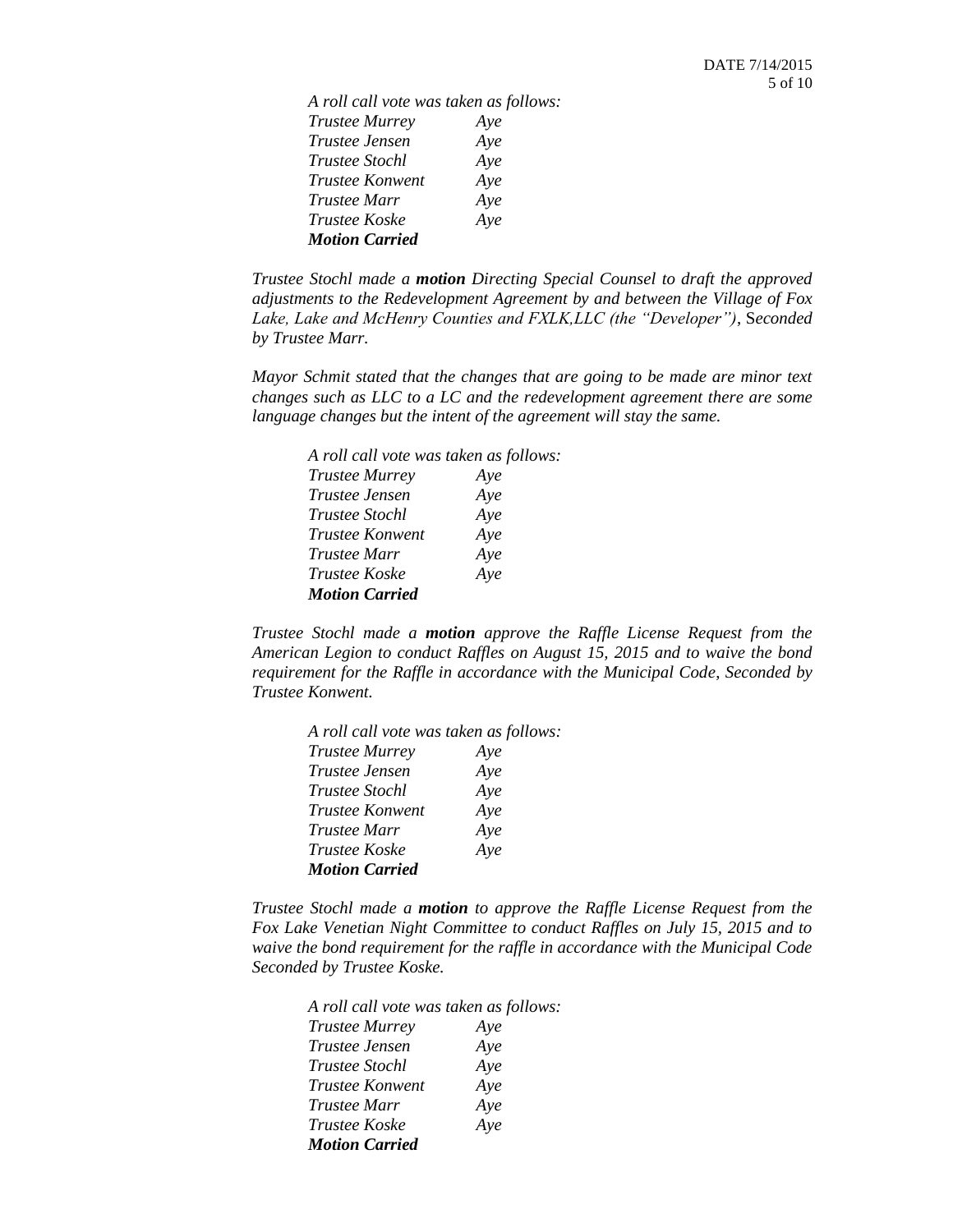*A roll call vote was taken as follows: Trustee Murrey Aye Trustee Jensen Aye Trustee Stochl Aye Trustee Konwent Aye Trustee Marr Aye Trustee Koske Aye Motion Carried*

*Trustee Stochl made a motion Directing Special Counsel to draft the approved adjustments to the Redevelopment Agreement by and between the Village of Fox Lake, Lake and McHenry Counties and FXLK,LLC (the "Developer")*, S*econded by Trustee Marr.*

*Mayor Schmit stated that the changes that are going to be made are minor text changes such as LLC to a LC and the redevelopment agreement there are some language changes but the intent of the agreement will stay the same.*

| A roll call vote was taken as follows: |     |  |
|----------------------------------------|-----|--|
| <b>Trustee Murrey</b>                  | Aye |  |
| <i>Trustee Jensen</i>                  | Aye |  |
| <i>Trustee Stochl</i>                  | Aye |  |
| <i>Trustee Konwent</i>                 | Aye |  |
| Trustee Marr                           | Aye |  |
| <i>Trustee Koske</i>                   | Aye |  |
| <b>Motion Carried</b>                  |     |  |

*Trustee Stochl made a motion approve the Raffle License Request from the American Legion to conduct Raffles on August 15, 2015 and to waive the bond requirement for the Raffle in accordance with the Municipal Code*, *Seconded by Trustee Konwent.*

| A roll call vote was taken as follows: |     |
|----------------------------------------|-----|
| <b>Trustee Murrey</b>                  | Aye |
| Trustee Jensen                         | Aye |
| <i>Trustee Stochl</i>                  | Aye |
| <i>Trustee Konwent</i>                 | Aye |
| <i>Trustee Marr</i>                    | Aye |
| <i>Trustee Koske</i>                   | Aye |
| <b>Motion Carried</b>                  |     |

*Trustee Stochl made a motion to approve the Raffle License Request from the Fox Lake Venetian Night Committee to conduct Raffles on July 15, 2015 and to waive the bond requirement for the raffle in accordance with the Municipal Code Seconded by Trustee Koske.*

| A roll call vote was taken as follows: |     |  |
|----------------------------------------|-----|--|
| <b>Trustee Murrey</b>                  | Aye |  |
| Trustee Jensen                         | Aye |  |
| Trustee Stochl                         | Aye |  |
| Trustee Konwent                        | Aye |  |
| Trustee Marr                           | Aye |  |
| Trustee Koske                          | Aye |  |
| <b>Motion Carried</b>                  |     |  |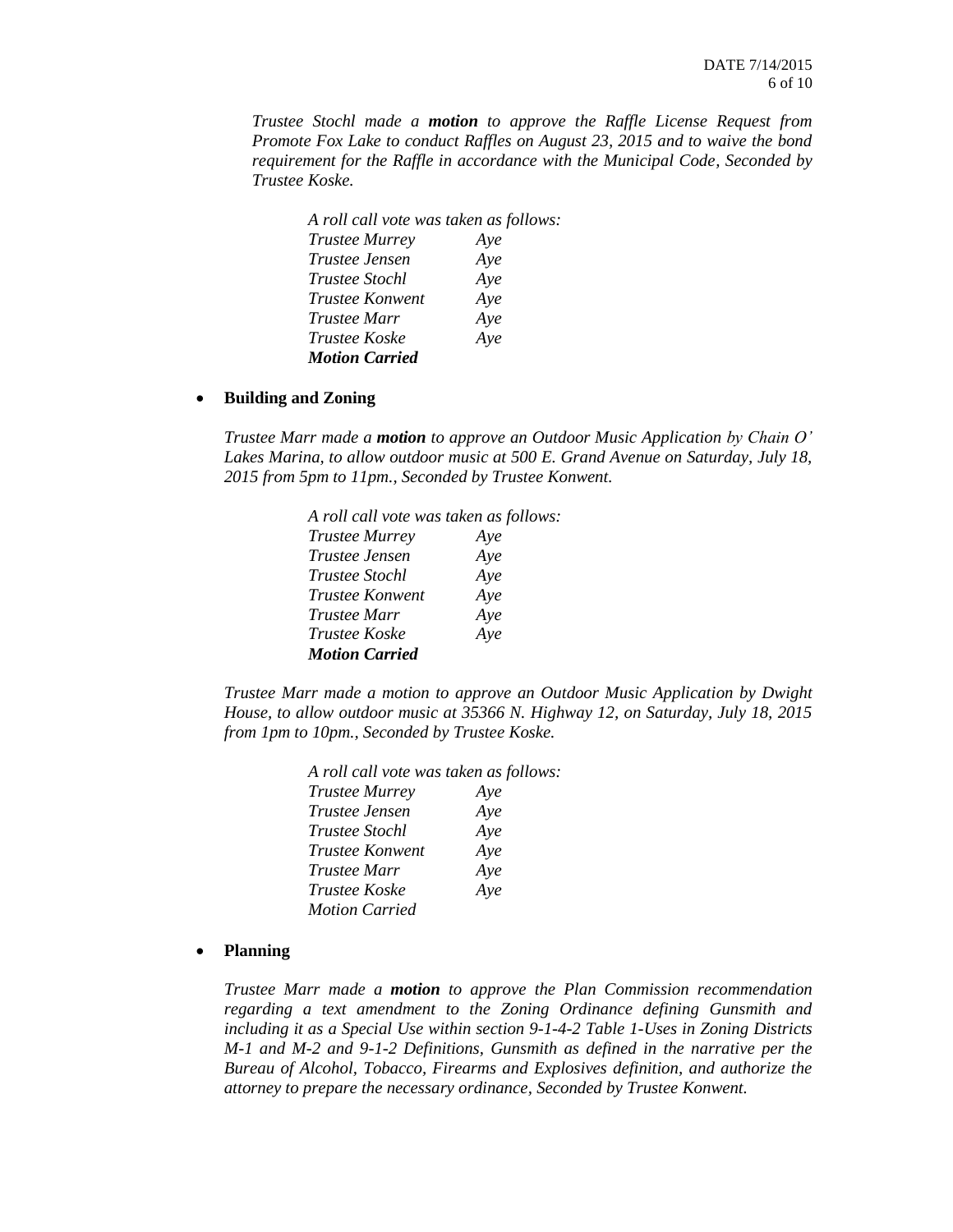*Trustee Stochl made a motion to approve the Raffle License Request from Promote Fox Lake to conduct Raffles on August 23, 2015 and to waive the bond requirement for the Raffle in accordance with the Municipal Code, Seconded by Trustee Koske.*

| A roll call vote was taken as follows: |     |
|----------------------------------------|-----|
| <b>Trustee Murrey</b>                  | Aye |
| <i>Trustee Jensen</i>                  | Aye |
| Trustee Stochl                         | Aye |
| <i>Trustee Konwent</i>                 | Aye |
| <i>Trustee Marr</i>                    | Aye |
| <i>Trustee Koske</i>                   | Aye |
| <b>Motion Carried</b>                  |     |

#### **Building and Zoning**

*Trustee Marr made a motion to approve an Outdoor Music Application by Chain O' Lakes Marina, to allow outdoor music at 500 E. Grand Avenue on Saturday, July 18, 2015 from 5pm to 11pm., Seconded by Trustee Konwent.*

| A roll call vote was taken as follows: |     |
|----------------------------------------|-----|
| <b>Trustee Murrey</b>                  | Aye |
| Trustee Jensen                         | Aye |
| Trustee Stochl                         | Aye |
| Trustee Konwent                        | Aye |
| Trustee Marr                           | Aye |
| Trustee Koske                          | Aye |
| <b>Motion Carried</b>                  |     |

*Trustee Marr made a motion to approve an Outdoor Music Application by Dwight House, to allow outdoor music at 35366 N. Highway 12, on Saturday, July 18, 2015 from 1pm to 10pm., Seconded by Trustee Koske.*

| A roll call vote was taken as follows: |     |
|----------------------------------------|-----|
| <b>Trustee Murrey</b>                  | Aye |
| Trustee Jensen                         | Aye |
| Trustee Stochl                         | Aye |
| <i>Trustee Konwent</i>                 | Aye |
| Trustee Marr                           | Aye |
| Trustee Koske                          | Aye |
| <b>Motion Carried</b>                  |     |
|                                        |     |

#### **Planning**

*Trustee Marr made a motion to approve the Plan Commission recommendation regarding a text amendment to the Zoning Ordinance defining Gunsmith and including it as a Special Use within section 9-1-4-2 Table 1-Uses in Zoning Districts M-1 and M-2 and 9-1-2 Definitions, Gunsmith as defined in the narrative per the Bureau of Alcohol, Tobacco, Firearms and Explosives definition, and authorize the attorney to prepare the necessary ordinance, Seconded by Trustee Konwent.*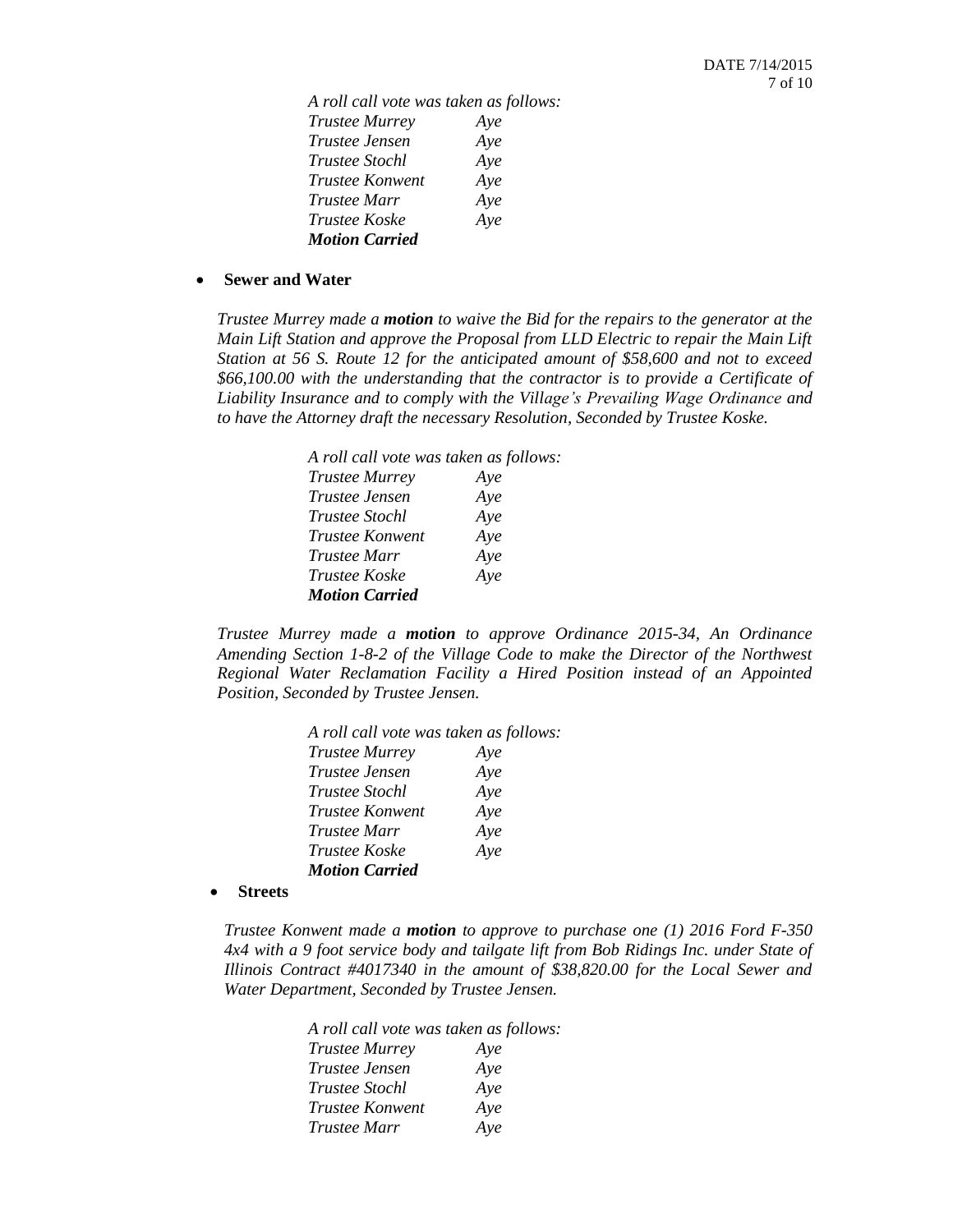*A roll call vote was taken as follows: Trustee Murrey Aye Trustee Jensen Aye Trustee Stochl Aye Trustee Konwent Aye Trustee Marr Aye Trustee Koske Aye Motion Carried*

#### **Sewer and Water**

*Trustee Murrey made a motion to waive the Bid for the repairs to the generator at the Main Lift Station and approve the Proposal from LLD Electric to repair the Main Lift Station at 56 S. Route 12 for the anticipated amount of \$58,600 and not to exceed \$66,100.00 with the understanding that the contractor is to provide a Certificate of Liability Insurance and to comply with the Village's Prevailing Wage Ordinance and to have the Attorney draft the necessary Resolution, Seconded by Trustee Koske.*

| A roll call vote was taken as follows: |     |
|----------------------------------------|-----|
| <b>Trustee Murrey</b>                  | Aye |
| Trustee Jensen                         | Aye |
| <i>Trustee Stochl</i>                  | Aye |
| <i>Trustee Konwent</i>                 | Aye |
| <i>Trustee Marr</i>                    | Aye |
| Trustee Koske                          | Aye |
| <b>Motion Carried</b>                  |     |

*Trustee Murrey made a motion to approve Ordinance 2015-34, An Ordinance Amending Section 1-8-2 of the Village Code to make the Director of the Northwest Regional Water Reclamation Facility a Hired Position instead of an Appointed Position, Seconded by Trustee Jensen.*

| A roll call vote was taken as follows: |
|----------------------------------------|
| Ave                                    |
| Aye                                    |
| Aye                                    |
| Aye                                    |
| Aye                                    |
| Aye                                    |
|                                        |
|                                        |

**Streets**

*Trustee Konwent made a motion to approve to purchase one (1) 2016 Ford F-350 4x4 with a 9 foot service body and tailgate lift from Bob Ridings Inc. under State of Illinois Contract #4017340 in the amount of \$38,820.00 for the Local Sewer and Water Department, Seconded by Trustee Jensen.*

| A roll call vote was taken as follows: |     |
|----------------------------------------|-----|
| <b>Trustee Murrey</b>                  | Aye |
| <i>Trustee Jensen</i>                  | Aye |
| <i>Trustee Stochl</i>                  | Aye |
| Trustee Konwent                        | Aye |
| <i>Trustee Marr</i>                    | Aye |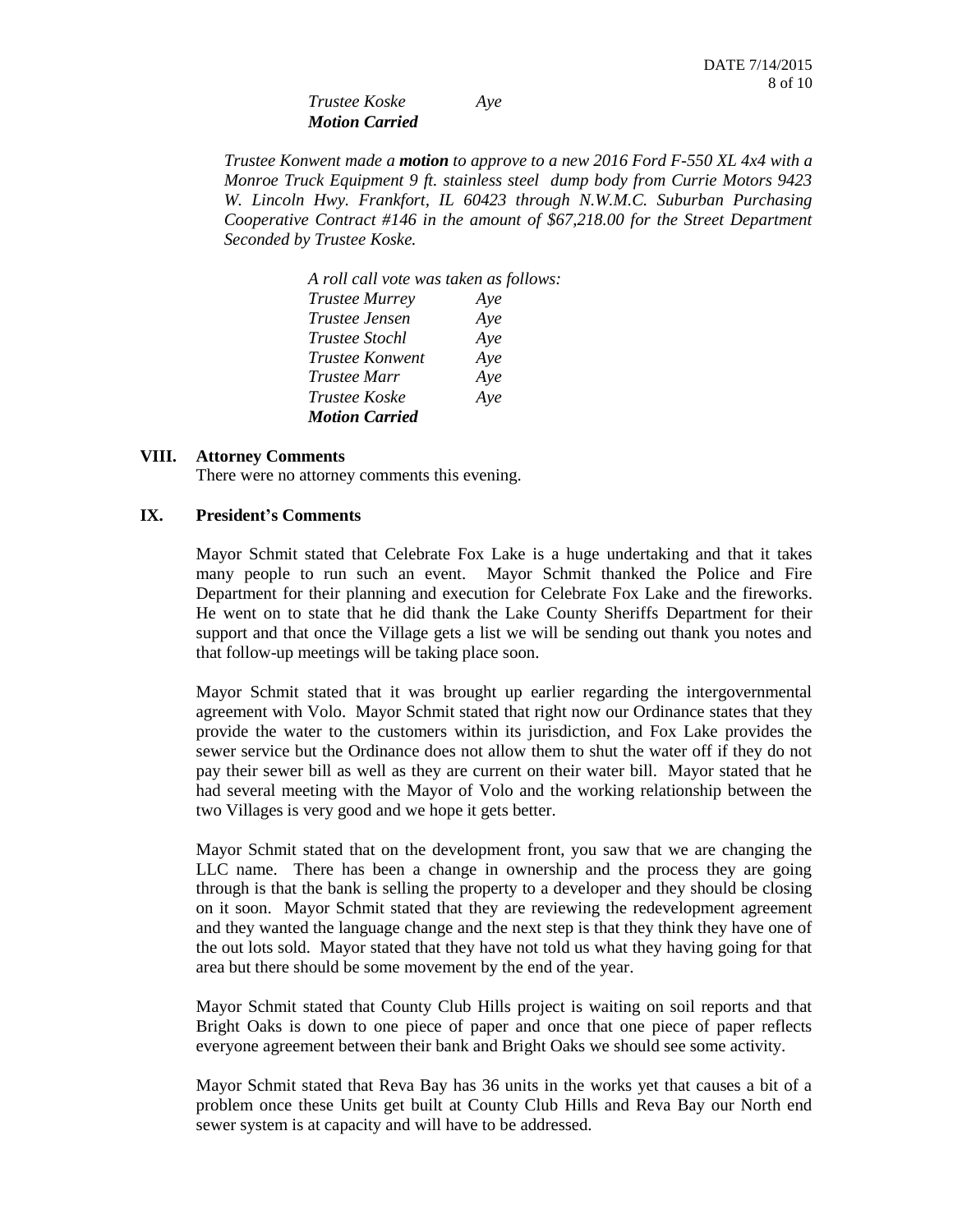*Trustee Koske Aye Motion Carried*

*Trustee Konwent made a motion to approve to a new 2016 Ford F-550 XL 4x4 with a Monroe Truck Equipment 9 ft. stainless steel dump body from Currie Motors 9423 W. Lincoln Hwy. Frankfort, IL 60423 through N.W.M.C. Suburban Purchasing Cooperative Contract #146 in the amount of \$67,218.00 for the Street Department Seconded by Trustee Koske.*

| A roll call vote was taken as follows: |     |  |
|----------------------------------------|-----|--|
| <b>Trustee Murrey</b>                  | Aye |  |
| Trustee Jensen                         | Aye |  |
| <i>Trustee Stochl</i>                  | Aye |  |
| <i>Trustee Konwent</i>                 | Aye |  |
| <i>Trustee Marr</i>                    | Aye |  |
| <i>Trustee Koske</i>                   | Aye |  |
| <b>Motion Carried</b>                  |     |  |

## **VIII. Attorney Comments**

There were no attorney comments this evening.

#### **IX. President's Comments**

Mayor Schmit stated that Celebrate Fox Lake is a huge undertaking and that it takes many people to run such an event. Mayor Schmit thanked the Police and Fire Department for their planning and execution for Celebrate Fox Lake and the fireworks. He went on to state that he did thank the Lake County Sheriffs Department for their support and that once the Village gets a list we will be sending out thank you notes and that follow-up meetings will be taking place soon.

Mayor Schmit stated that it was brought up earlier regarding the intergovernmental agreement with Volo. Mayor Schmit stated that right now our Ordinance states that they provide the water to the customers within its jurisdiction, and Fox Lake provides the sewer service but the Ordinance does not allow them to shut the water off if they do not pay their sewer bill as well as they are current on their water bill. Mayor stated that he had several meeting with the Mayor of Volo and the working relationship between the two Villages is very good and we hope it gets better.

Mayor Schmit stated that on the development front, you saw that we are changing the LLC name. There has been a change in ownership and the process they are going through is that the bank is selling the property to a developer and they should be closing on it soon. Mayor Schmit stated that they are reviewing the redevelopment agreement and they wanted the language change and the next step is that they think they have one of the out lots sold. Mayor stated that they have not told us what they having going for that area but there should be some movement by the end of the year.

Mayor Schmit stated that County Club Hills project is waiting on soil reports and that Bright Oaks is down to one piece of paper and once that one piece of paper reflects everyone agreement between their bank and Bright Oaks we should see some activity.

Mayor Schmit stated that Reva Bay has 36 units in the works yet that causes a bit of a problem once these Units get built at County Club Hills and Reva Bay our North end sewer system is at capacity and will have to be addressed.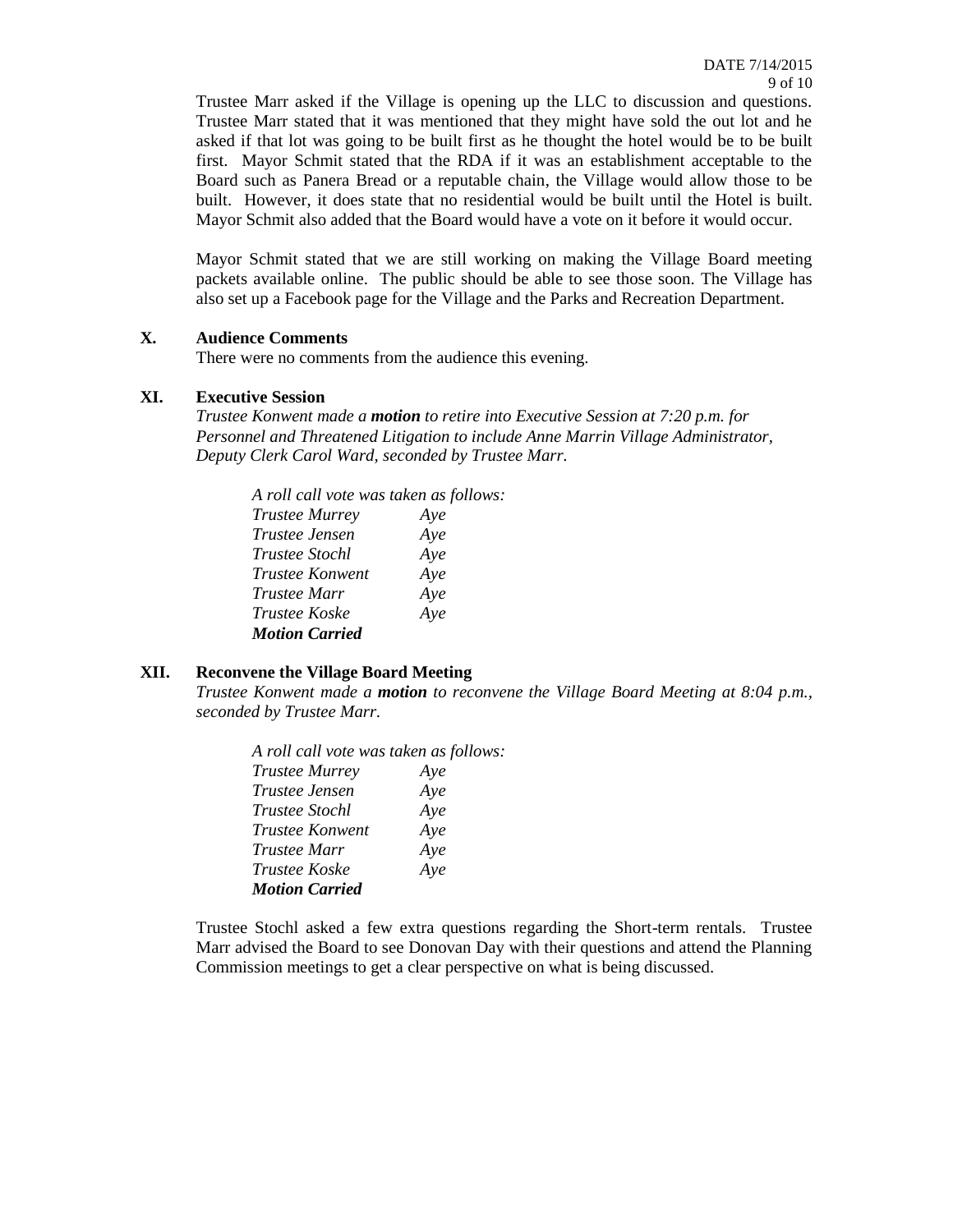Trustee Marr asked if the Village is opening up the LLC to discussion and questions. Trustee Marr stated that it was mentioned that they might have sold the out lot and he asked if that lot was going to be built first as he thought the hotel would be to be built first. Mayor Schmit stated that the RDA if it was an establishment acceptable to the Board such as Panera Bread or a reputable chain, the Village would allow those to be built. However, it does state that no residential would be built until the Hotel is built. Mayor Schmit also added that the Board would have a vote on it before it would occur.

Mayor Schmit stated that we are still working on making the Village Board meeting packets available online. The public should be able to see those soon. The Village has also set up a Facebook page for the Village and the Parks and Recreation Department.

#### **X. Audience Comments**

There were no comments from the audience this evening.

#### **XI. Executive Session**

*Trustee Konwent made a motion to retire into Executive Session at 7:20 p.m. for Personnel and Threatened Litigation to include Anne Marrin Village Administrator, Deputy Clerk Carol Ward, seconded by Trustee Marr.*

*A roll call vote was taken as follows: Trustee Murrey Aye Trustee Jensen Aye Trustee Stochl Aye Trustee Konwent Aye Trustee Marr Aye Trustee Koske Aye Motion Carried* 

## **XII. Reconvene the Village Board Meeting**

*Trustee Konwent made a motion to reconvene the Village Board Meeting at 8:04 p.m., seconded by Trustee Marr.*

| A roll call vote was taken as follows: |     |
|----------------------------------------|-----|
| <b>Trustee Murrey</b>                  | Aye |
| <i>Trustee Jensen</i>                  | Ave |
| <i>Trustee Stochl</i>                  | Aye |
| <i>Trustee Konwent</i>                 | Aye |
| <i>Trustee Marr</i>                    | Aye |
| Trustee Koske                          | Aye |
| <b>Motion Carried</b>                  |     |

Trustee Stochl asked a few extra questions regarding the Short-term rentals. Trustee Marr advised the Board to see Donovan Day with their questions and attend the Planning Commission meetings to get a clear perspective on what is being discussed.